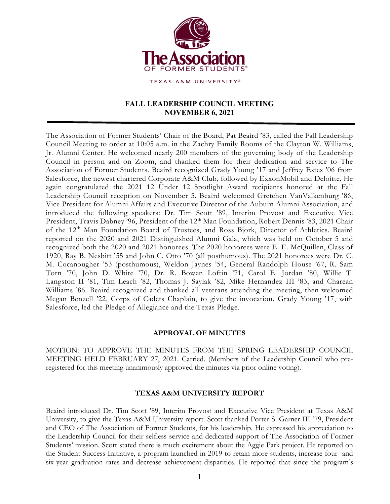

TEXAS A&M UNIVERSITY®

# **FALL LEADERSHIP COUNCIL MEETING NOVEMBER 6, 2021**

The Association of Former Students' Chair of the Board, Pat Beaird '83, called the Fall Leadership Council Meeting to order at 10:05 a.m. in the Zachry Family Rooms of the Clayton W. Williams, Jr. Alumni Center. He welcomed nearly 200 members of the governing body of the Leadership Council in person and on Zoom, and thanked them for their dedication and service to The Association of Former Students. Beaird recognized Grady Young '17 and Jeffrey Estes '06 from Salesforce, the newest chartered Corporate A&M Club, followed by ExxonMobil and Deloitte. He again congratulated the 2021 12 Under 12 Spotlight Award recipients honored at the Fall Leadership Council reception on November 5. Beaird welcomed Gretchen VanValkenburg '86, Vice President for Alumni Affairs and Executive Director of the Auburn Alumni Association, and introduced the following speakers: Dr. Tim Scott '89, Interim Provost and Executive Vice President, Travis Dabney '96, President of the 12<sup>th</sup> Man Foundation, Robert Dennis '83, 2021 Chair of the 12th Man Foundation Board of Trustees, and Ross Bjork, Director of Athletics. Beaird reported on the 2020 and 2021 Distinguished Alumni Gala, which was held on October 5 and recognized both the 2020 and 2021 honorees. The 2020 honorees were E. E. McQuillen, Class of 1920, Ray B. Nesbitt '55 and John C. Otto '70 (all posthumous). The 2021 honorees were Dr. C. M. Cocanougher '53 (posthumous), Weldon Jaynes '54, General Randolph House '67, R. Sam Torn '70, John D. White '70, Dr. R. Bowen Loftin '71, Carol E. Jordan '80, Willie T. Langston II '81, Tim Leach '82, Thomas J. Saylak '82, Mike Hernandez III '83, and Charean Williams '86. Beaird recognized and thanked all veterans attending the meeting, then welcomed Megan Benzell '22, Corps of Cadets Chaplain, to give the invocation. Grady Young '17, with Salesforce, led the Pledge of Allegiance and the Texas Pledge.

## **APPROVAL OF MINUTES**

MOTION: TO APPROVE THE MINUTES FROM THE SPRING LEADERSHIP COUNCIL MEETING HELD FEBRUARY 27, 2021. Carried. (Members of the Leadership Council who preregistered for this meeting unanimously approved the minutes via prior online voting).

## **TEXAS A&M UNIVERSITY REPORT**

Beaird introduced Dr. Tim Scott '89, Interim Provost and Executive Vice President at Texas A&M University, to give the Texas A&M University report. Scott thanked Porter S. Garner III '79, President and CEO of The Association of Former Students, for his leadership. He expressed his appreciation to the Leadership Council for their selfless service and dedicated support of The Association of Former Students' mission. Scott stated there is much excitement about the Aggie Park project. He reported on the Student Success Initiative, a program launched in 2019 to retain more students, increase four- and six-year graduation rates and decrease achievement disparities. He reported that since the program's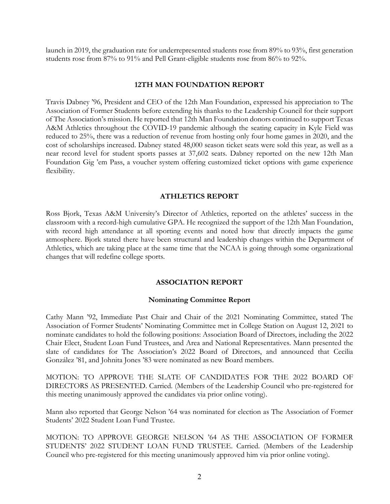launch in 2019, the graduation rate for underrepresented students rose from 89% to 93%, first generation students rose from 87% to 91% and Pell Grant-eligible students rose from 86% to 92%.

### **12TH MAN FOUNDATION REPORT**

Travis Dabney '96, President and CEO of the 12th Man Foundation, expressed his appreciation to The Association of Former Students before extending his thanks to the Leadership Council for their support of The Association's mission. He reported that 12th Man Foundation donors continued to support Texas A&M Athletics throughout the COVID-19 pandemic although the seating capacity in Kyle Field was reduced to 25%, there was a reduction of revenue from hosting only four home games in 2020, and the cost of scholarships increased. Dabney stated 48,000 season ticket seats were sold this year, as well as a near record level for student sports passes at 37,602 seats. Dabney reported on the new 12th Man Foundation Gig 'em Pass, a voucher system offering customized ticket options with game experience flexibility.

### **ATHLETICS REPORT**

Ross Bjork, Texas A&M University's Director of Athletics, reported on the athletes' success in the classroom with a record-high cumulative GPA. He recognized the support of the 12th Man Foundation, with record high attendance at all sporting events and noted how that directly impacts the game atmosphere. Bjork stated there have been structural and leadership changes within the Department of Athletics, which are taking place at the same time that the NCAA is going through some organizational changes that will redefine college sports.

### **ASSOCIATION REPORT**

### **Nominating Committee Report**

Cathy Mann '92, Immediate Past Chair and Chair of the 2021 Nominating Committee, stated The Association of Former Students' Nominating Committee met in College Station on August 12, 2021 to nominate candidates to hold the following positions: Association Board of Directors, including the 2022 Chair Elect, Student Loan Fund Trustees, and Area and National Representatives. Mann presented the slate of candidates for The Association's 2022 Board of Directors, and announced that Cecilia González '81, and Johnita Jones '83 were nominated as new Board members.

MOTION: TO APPROVE THE SLATE OF CANDIDATES FOR THE 2022 BOARD OF DIRECTORS AS PRESENTED. Carried. (Members of the Leadership Council who pre-registered for this meeting unanimously approved the candidates via prior online voting).

Mann also reported that George Nelson '64 was nominated for election as The Association of Former Students' 2022 Student Loan Fund Trustee.

MOTION: TO APPROVE GEORGE NELSON '64 AS THE ASSOCIATION OF FORMER STUDENTS' 2022 STUDENT LOAN FUND TRUSTEE. Carried. (Members of the Leadership Council who pre-registered for this meeting unanimously approved him via prior online voting).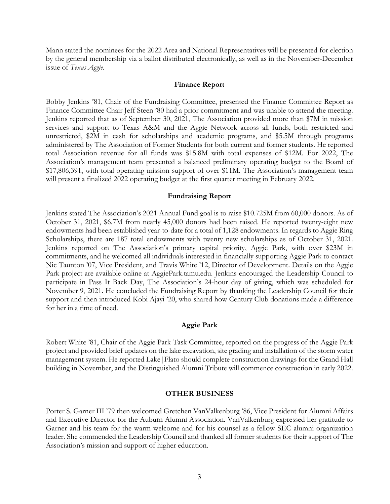Mann stated the nominees for the 2022 Area and National Representatives will be presented for election by the general membership via a ballot distributed electronically, as well as in the November-December issue of *Texas Aggie*.

#### **Finance Report**

Bobby Jenkins '81, Chair of the Fundraising Committee, presented the Finance Committee Report as Finance Committee Chair Jeff Steen '80 had a prior commitment and was unable to attend the meeting. Jenkins reported that as of September 30, 2021, The Association provided more than \$7M in mission services and support to Texas A&M and the Aggie Network across all funds, both restricted and unrestricted, \$2M in cash for scholarships and academic programs, and \$5.5M through programs administered by The Association of Former Students for both current and former students. He reported total Association revenue for all funds was \$15.8M with total expenses of \$12M. For 2022, The Association's management team presented a balanced preliminary operating budget to the Board of \$17,806,391, with total operating mission support of over \$11M. The Association's management team will present a finalized 2022 operating budget at the first quarter meeting in February 2022.

#### **Fundraising Report**

Jenkins stated The Association's 2021 Annual Fund goal is to raise \$10.725M from 60,000 donors. As of October 31, 2021, \$6.7M from nearly 45,000 donors had been raised. He reported twenty-eight new endowments had been established year-to-date for a total of 1,128 endowments. In regards to Aggie Ring Scholarships, there are 187 total endowments with twenty new scholarships as of October 31, 2021. Jenkins reported on The Association's primary capital priority, Aggie Park, with over \$23M in commitments, and he welcomed all individuals interested in financially supporting Aggie Park to contact Nic Taunton '07, Vice President, and Travis White '12, Director of Development. Details on the Aggie Park project are available online at AggiePark.tamu.edu. Jenkins encouraged the Leadership Council to participate in Pass It Back Day, The Association's 24-hour day of giving, which was scheduled for November 9, 2021. He concluded the Fundraising Report by thanking the Leadership Council for their support and then introduced Kobi Ajayi '20, who shared how Century Club donations made a difference for her in a time of need.

### **Aggie Park**

Robert White '81, Chair of the Aggie Park Task Committee, reported on the progress of the Aggie Park project and provided brief updates on the lake excavation, site grading and installation of the storm water management system. He reported Lake|Flato should complete construction drawings for the Grand Hall building in November, and the Distinguished Alumni Tribute will commence construction in early 2022.

#### **OTHER BUSINESS**

Porter S. Garner III '79 then welcomed Gretchen VanValkenburg '86, Vice President for Alumni Affairs and Executive Director for the Auburn Alumni Association. VanValkenburg expressed her gratitude to Garner and his team for the warm welcome and for his counsel as a fellow SEC alumni organization leader. She commended the Leadership Council and thanked all former students for their support of The Association's mission and support of higher education.